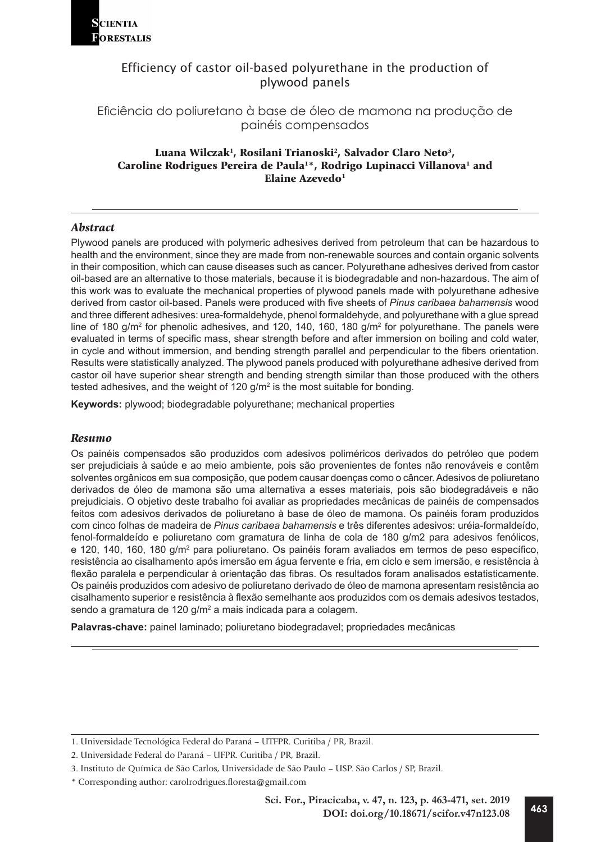

Eficiência do poliuretano à base de óleo de mamona na produção de painéis compensados

# Luana Wilczak<sup>1</sup>, Rosilani Trianoski<sup>2</sup>, Salvador Claro Neto<sup>3</sup>, Caroline Rodrigues Pereira de Paula<sup>1\*</sup>, Rodrigo Lupinacci Villanova<sup>1</sup> and Elaine Azevedo<sup>1</sup>

# *Abstract*

Plywood panels are produced with polymeric adhesives derived from petroleum that can be hazardous to health and the environment, since they are made from non-renewable sources and contain organic solvents in their composition, which can cause diseases such as cancer. Polyurethane adhesives derived from castor oil-based are an alternative to those materials, because it is biodegradable and non-hazardous. The aim of this work was to evaluate the mechanical properties of plywood panels made with polyurethane adhesive derived from castor oil-based. Panels were produced with five sheets of *Pinus caribaea bahamensis* wood and three different adhesives: urea-formaldehyde, phenol formaldehyde, and polyurethane with a glue spread line of 180 g/m² for phenolic adhesives, and 120, 140, 160, 180 g/m² for polyurethane. The panels were evaluated in terms of specific mass, shear strength before and after immersion on boiling and cold water, in cycle and without immersion, and bending strength parallel and perpendicular to the fibers orientation. Results were statistically analyzed. The plywood panels produced with polyurethane adhesive derived from castor oil have superior shear strength and bending strength similar than those produced with the others tested adhesives, and the weight of 120 g/m $^{\rm 2}$  is the most suitable for bonding.

**Keywords:** plywood; biodegradable polyurethane; mechanical properties

#### *Resumo*

Os painéis compensados são produzidos com adesivos poliméricos derivados do petróleo que podem ser prejudiciais à saúde e ao meio ambiente, pois são provenientes de fontes não renováveis e contêm solventes orgânicos em sua composição, que podem causar doenças como o câncer. Adesivos de poliuretano derivados de óleo de mamona são uma alternativa a esses materiais, pois são biodegradáveis e não prejudiciais. O objetivo deste trabalho foi avaliar as propriedades mecânicas de painéis de compensados feitos com adesivos derivados de poliuretano à base de óleo de mamona. Os painéis foram produzidos com cinco folhas de madeira de *Pinus caribaea bahamensis* e três diferentes adesivos: uréia-formaldeído, fenol-formaldeído e poliuretano com gramatura de linha de cola de 180 g/m2 para adesivos fenólicos, e 120, 140, 160, 180 g/m² para poliuretano. Os painéis foram avaliados em termos de peso específico, resistência ao cisalhamento após imersão em água fervente e fria, em ciclo e sem imersão, e resistência à flexão paralela e perpendicular à orientação das fibras. Os resultados foram analisados estatisticamente. Os painéis produzidos com adesivo de poliuretano derivado de óleo de mamona apresentam resistência ao cisalhamento superior e resistência à flexão semelhante aos produzidos com os demais adesivos testados, sendo a gramatura de 120 g/m<sup>2</sup> a mais indicada para a colagem.

**Palavras-chave:** painel laminado; poliuretano biodegradavel; propriedades mecânicas

<sup>1.</sup> Universidade Tecnológica Federal do Paraná – UTFPR. Curitiba / PR, Brazil.

<sup>2.</sup> Universidade Federal do Paraná – UFPR. Curitiba / PR, Brazil.

<sup>3.</sup> Instituto de Química de São Carlos, Universidade de São Paulo – USP. São Carlos / SP, Brazil.

<sup>\*</sup> Corresponding author: carolrodrigues.floresta@gmail.com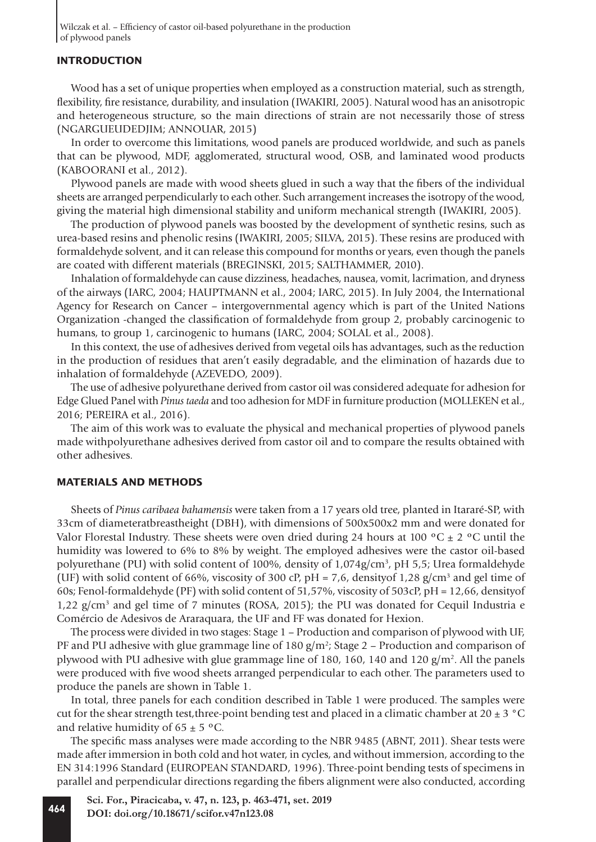# **INTRODUCTION**

Wood has a set of unique properties when employed as a construction material, such as strength, flexibility, fire resistance, durability, and insulation (IWAKIRI, 2005). Natural wood has an anisotropic and heterogeneous structure, so the main directions of strain are not necessarily those of stress (NGARGUEUDEDJIM; ANNOUAR, 2015)

In order to overcome this limitations, wood panels are produced worldwide, and such as panels that can be plywood, MDF, agglomerated, structural wood, OSB, and laminated wood products (KABOORANI et al., 2012).

Plywood panels are made with wood sheets glued in such a way that the fibers of the individual sheets are arranged perpendicularly to each other. Such arrangement increases the isotropy of the wood, giving the material high dimensional stability and uniform mechanical strength (IWAKIRI, 2005).

The production of plywood panels was boosted by the development of synthetic resins, such as urea-based resins and phenolic resins (IWAKIRI, 2005; SILVA, 2015). These resins are produced with formaldehyde solvent, and it can release this compound for months or years, even though the panels are coated with different materials (BREGINSKI, 2015; SALTHAMMER, 2010).

Inhalation of formaldehyde can cause dizziness, headaches, nausea, vomit, lacrimation, and dryness of the airways (IARC, 2004; HAUPTMANN et al., 2004; IARC, 2015). In July 2004, the International Agency for Research on Cancer – intergovernmental agency which is part of the United Nations Organization -changed the classification of formaldehyde from group 2, probably carcinogenic to humans, to group 1, carcinogenic to humans (IARC, 2004; SOLAL et al., 2008).

In this context, the use of adhesives derived from vegetal oils has advantages, such as the reduction in the production of residues that aren't easily degradable, and the elimination of hazards due to inhalation of formaldehyde (AZEVEDO, 2009).

The use of adhesive polyurethane derived from castor oil was considered adequate for adhesion for Edge Glued Panel with *Pinus taeda* and too adhesion for MDF in furniture production (MOLLEKEN et al., 2016; PEREIRA et al., 2016).

The aim of this work was to evaluate the physical and mechanical properties of plywood panels made withpolyurethane adhesives derived from castor oil and to compare the results obtained with other adhesives.

#### **MATERIALS AND METHODS**

Sheets of *Pinus caribaea bahamensis* were taken from a 17 years old tree, planted in Itararé-SP, with 33cm of diameteratbreastheight (DBH), with dimensions of 500x500x2 mm and were donated for Valor Florestal Industry. These sheets were oven dried during 24 hours at 100  $\rm{^{\circ}C}$   $\pm$  2  $\rm{^{\circ}C}$  until the humidity was lowered to 6% to 8% by weight. The employed adhesives were the castor oil-based polyurethane (PU) with solid content of 100%, density of 1,074g/cm<sup>3</sup>, pH 5,5; Urea formaldehyde (UF) with solid content of 66%, viscosity of 300 cP,  $pH = 7.6$ , density of 1,28 g/cm<sup>3</sup> and gel time of 60s; Fenol-formaldehyde (PF) with solid content of 51,57%, viscosity of 503cP, pH = 12,66, densityof 1,22 g/cm<sup>3</sup> and gel time of 7 minutes (ROSA, 2015); the PU was donated for Cequil Industria e Comércio de Adesivos de Araraquara, the UF and FF was donated for Hexion.

The process were divided in two stages: Stage 1 – Production and comparison of plywood with UF, PF and PU adhesive with glue grammage line of 180  $g/m^2$ ; Stage 2 – Production and comparison of plywood with PU adhesive with glue grammage line of 180, 160, 140 and 120 g/m<sup>2</sup>. All the panels were produced with five wood sheets arranged perpendicular to each other. The parameters used to produce the panels are shown in Table 1.

In total, three panels for each condition described in Table 1 were produced. The samples were cut for the shear strength test, three-point bending test and placed in a climatic chamber at 20  $\pm$  3 °C and relative humidity of  $65 \pm 5$  °C.

The specific mass analyses were made according to the NBR 9485 (ABNT, 2011). Shear tests were made after immersion in both cold and hot water, in cycles, and without immersion, according to the EN 314:1996 Standard (EUROPEAN STANDARD, 1996). Three-point bending tests of specimens in parallel and perpendicular directions regarding the fibers alignment were also conducted, according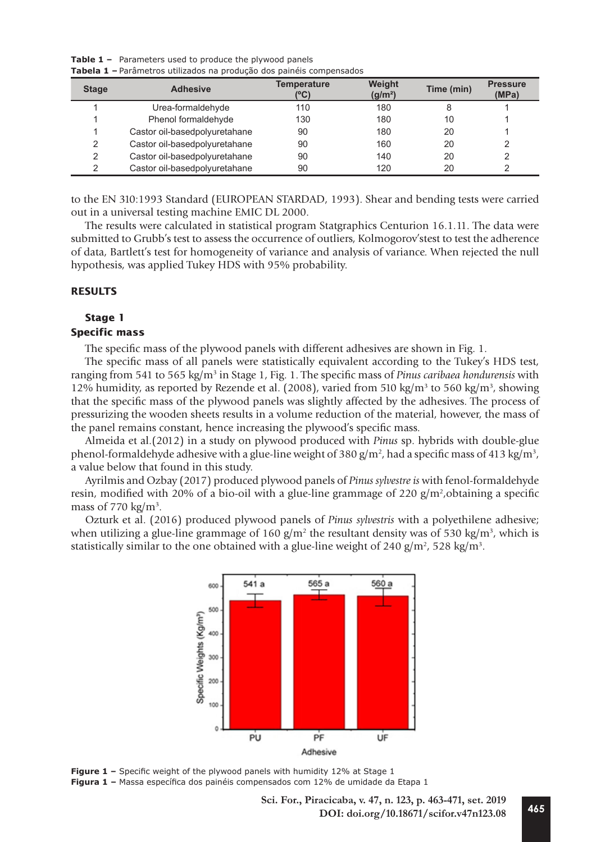**Table 1 –** Parameters used to produce the plywood panels **Tabela 1 –** Parâmetros utilizados na produção dos painéis compensados

| <b>Stage</b> | <b>Adhesive</b>               | <b>Temperature</b><br>(°C) | <b>Weight</b><br>(g/m <sup>2</sup> ) | Time (min) | <b>Pressure</b><br>(MPa) |
|--------------|-------------------------------|----------------------------|--------------------------------------|------------|--------------------------|
|              | Urea-formaldehyde             | 110                        | 180                                  | 8          |                          |
|              | Phenol formaldehyde           | 130                        | 180                                  | 10         |                          |
|              | Castor oil-basedpolyuretahane | 90                         | 180                                  | 20         |                          |
| 2            | Castor oil-basedpolyuretahane | 90                         | 160                                  | 20         |                          |
| っ            | Castor oil-basedpolyuretahane | 90                         | 140                                  | 20         |                          |
| ◠            | Castor oil-basedpolyuretahane | 90                         | 120                                  | 20         |                          |

to the EN 310:1993 Standard (EUROPEAN STARDAD, 1993). Shear and bending tests were carried out in a universal testing machine EMIC DL 2000.

The results were calculated in statistical program Statgraphics Centurion 16.1.11. The data were submitted to Grubb's test to assess the occurrence of outliers, Kolmogorov'stest to test the adherence of data, Bartlett's test for homogeneity of variance and analysis of variance. When rejected the null hypothesis, was applied Tukey HDS with 95% probability.

# **RESULTS**

## **Stage 1**

## **Specific mass**

The specific mass of the plywood panels with different adhesives are shown in Fig. 1.

The specific mass of all panels were statistically equivalent according to the Tukey's HDS test, ranging from 541 to 565 kg/m<sup>3</sup> in Stage 1, Fig. 1. The specific mass of *Pinus caribaea hondurensis* with 12% humidity, as reported by Rezende et al. (2008), varied from 510 kg/m<sup>3</sup> to 560 kg/m<sup>3</sup>, showing that the specific mass of the plywood panels was slightly affected by the adhesives. The process of pressurizing the wooden sheets results in a volume reduction of the material, however, the mass of the panel remains constant, hence increasing the plywood's specific mass.

Almeida et al.(2012) in a study on plywood produced with *Pinus* sp. hybrids with double-glue phenol-formaldehyde adhesive with a glue-line weight of 380 g/m<sup>2</sup>, had a specific mass of 413 kg/m<sup>3</sup>, a value below that found in this study.

Ayrilmis and Ozbay (2017) produced plywood panels of *Pinus sylvestre is* with fenol-formaldehyde resin, modified with 20% of a bio-oil with a glue-line grammage of 220  $g/m^2$ , obtaining a specific mass of 770  $\text{kg/m}^3$ .

Ozturk et al. (2016) produced plywood panels of *Pinus sylvestris* with a polyethilene adhesive; when utilizing a glue-line grammage of 160  $g/m^2$  the resultant density was of 530 kg/m<sup>3</sup>, which is statistically similar to the one obtained with a glue-line weight of 240  $\frac{g}{m^2}$ , 528 kg/m<sup>3</sup>.



**Figure 1 -** Specific weight of the plywood panels with humidity 12% at Stage 1 **Figura 1 –** Massa específica dos painéis compensados com 12% de umidade da Etapa 1

**<sup>465</sup> Sci. For., Piracicaba, v. 47, n. 123, p. 463-471, set. 2019 DOI: doi.org/10.18671/scifor.v47n123.08**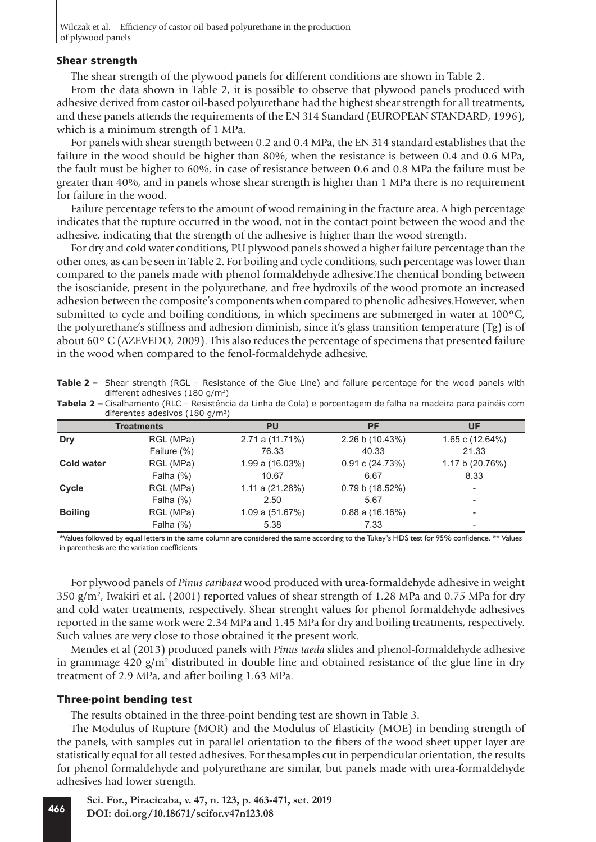## **Shear strength**

The shear strength of the plywood panels for different conditions are shown in Table 2.

From the data shown in Table 2, it is possible to observe that plywood panels produced with adhesive derived from castor oil-based polyurethane had the highest shear strength for all treatments, and these panels attends the requirements of the EN 314 Standard (EUROPEAN STANDARD, 1996), which is a minimum strength of 1 MPa.

For panels with shear strength between 0.2 and 0.4 MPa, the EN 314 standard establishes that the failure in the wood should be higher than 80%, when the resistance is between 0.4 and 0.6 MPa, the fault must be higher to 60%, in case of resistance between 0.6 and 0.8 MPa the failure must be greater than 40%, and in panels whose shear strength is higher than 1 MPa there is no requirement for failure in the wood.

Failure percentage refers to the amount of wood remaining in the fracture area. A high percentage indicates that the rupture occurred in the wood, not in the contact point between the wood and the adhesive, indicating that the strength of the adhesive is higher than the wood strength.

For dry and cold water conditions, PU plywood panels showed a higher failure percentage than the other ones, as can be seen in Table 2. For boiling and cycle conditions, such percentage was lower than compared to the panels made with phenol formaldehyde adhesive.The chemical bonding between the isoscianide, present in the polyurethane, and free hydroxils of the wood promote an increased adhesion between the composite's components when compared to phenolic adhesives.However, when submitted to cycle and boiling conditions, in which specimens are submerged in water at 100ºC, the polyurethane's stiffness and adhesion diminish, since it's glass transition temperature (Tg) is of about 60º C (AZEVEDO, 2009). This also reduces the percentage of specimens that presented failure in the wood when compared to the fenol-formaldehyde adhesive.

**Table 2 –** Shear strength (RGL – Resistance of the Glue Line) and failure percentage for the wood panels with different adhesives (180 g/m2)

| <b>Tabela 2 –</b> Cisalhamento (RLC – Resistência da Linha de Cola) e porcentagem de falha na madeira para painéis com |  |  |
|------------------------------------------------------------------------------------------------------------------------|--|--|
| diferentes adesivos (180 g/m <sup>2</sup> )                                                                            |  |  |

|                   | Treatments  | PU                   | <b>PF</b>                  | UF                       |
|-------------------|-------------|----------------------|----------------------------|--------------------------|
| Dry               | RGL (MPa)   | $2.71$ a $(11.71\%)$ | 2.26 b (10.43%)            | 1.65 c (12.64%)          |
|                   | Failure (%) | 76.33                | 40.33                      | 21.33                    |
| <b>Cold water</b> | RGL (MPa)   | $1.99$ a $(16.03%)$  | $0.91 \text{ c} (24.73\%)$ | 1.17 b (20.76%)          |
|                   | Falha $(%)$ | 10.67                | 6.67                       | 8.33                     |
| Cycle             | RGL (MPa)   | 1.11 a $(21.28%)$    | 0.79 b (18.52%)            |                          |
|                   | Falha (%)   | 2.50                 | 5.67                       | $\overline{\phantom{a}}$ |
| <b>Boiling</b>    | RGL (MPa)   | $1.09$ a $(51.67%)$  | $0.88$ a $(16.16%)$        |                          |
|                   | Falha (%)   | 5.38                 | 7.33                       |                          |

\*Values followed by equal letters in the same column are considered the same according to the Tukey's HDS test for 95% confidence. \*\* Values in parenthesis are the variation coefficients.

For plywood panels of *Pinus caribaea* wood produced with urea-formaldehyde adhesive in weight 350  $g/m^2$ , Iwakiri et al. (2001) reported values of shear strength of 1.28 MPa and 0.75 MPa for dry and cold water treatments, respectively. Shear strenght values for phenol formaldehyde adhesives reported in the same work were 2.34 MPa and 1.45 MPa for dry and boiling treatments, respectively. Such values are very close to those obtained it the present work.

Mendes et al (2013) produced panels with *Pinus taeda* slides and phenol-formaldehyde adhesive in grammage  $420$  g/m<sup>2</sup> distributed in double line and obtained resistance of the glue line in dry treatment of 2.9 MPa, and after boiling 1.63 MPa.

## **Three-point bending test**

The results obtained in the three-point bending test are shown in Table 3.

The Modulus of Rupture (MOR) and the Modulus of Elasticity (MOE) in bending strength of the panels, with samples cut in parallel orientation to the fibers of the wood sheet upper layer are statistically equal for all tested adhesives. For thesamples cut in perpendicular orientation, the results for phenol formaldehyde and polyurethane are similar, but panels made with urea-formaldehyde adhesives had lower strength.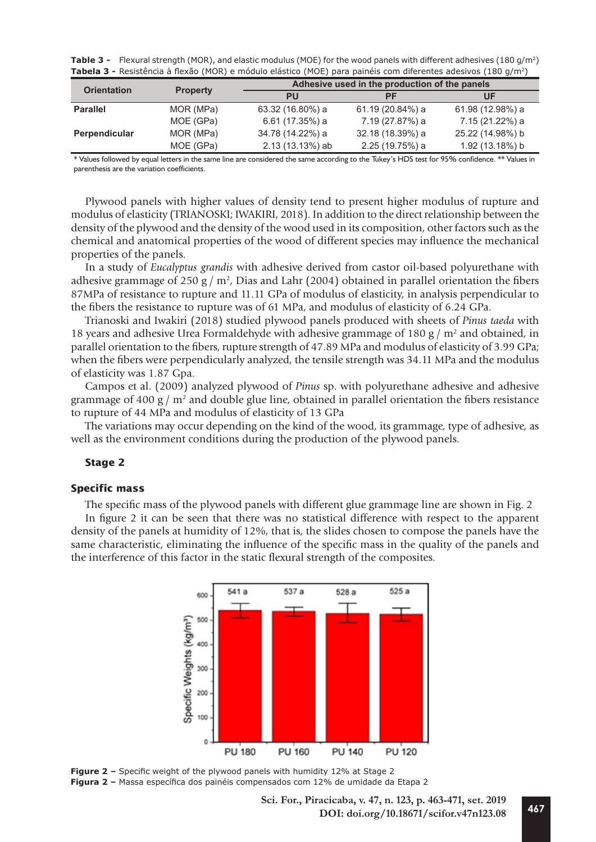| <b>Table 3 -</b> Flexural strength (MOR), and elastic modulus (MOE) for the wood panels with different adhesives (180 g/m <sup>2</sup> ) |  |
|------------------------------------------------------------------------------------------------------------------------------------------|--|
| <b>Tabela 3 -</b> Resistência à flexão (MOR) e módulo elástico (MOE) para painéis com diferentes adesivos (180 g/m <sup>2</sup> )        |  |

|                    |                 | Adhesive used in the production of the panels |                  |                  |  |
|--------------------|-----------------|-----------------------------------------------|------------------|------------------|--|
| <b>Orientation</b> | <b>Property</b> | PU                                            | РF               | UF               |  |
| <b>Parallel</b>    | MOR (MPa)       | 63.32 (16.80%) a                              | 61.19 (20.84%) a | 61.98 (12.98%) a |  |
|                    | MOE (GPa)       | 6.61 (17.35%) a                               | 7.19 (27.87%) a  | 7.15 (21.22%) a  |  |
| Perpendicular      | MOR (MPa)       | 34.78 (14.22%) a                              | 32.18 (18.39%) a | 25.22 (14.98%) b |  |
|                    | MOE (GPa)       | 2.13 (13.13%) ab                              | 2.25 (19.75%) a  | 1.92 (13.18%) b  |  |

\* Values followed by equal letters in the same line are considered the same according to the Tukey's HDS test for 95% confidence. \*\* Values in parenthesis are the variation coefficients.

Plywood panels with higher values of density tend to present higher modulus of rupture and modulus of elasticity (TRIANOSKI; IWAKIRI, 2018). In addition to the direct relationship between the density of the plywood and the density of the wood used in its composition, other factors such as the chemical and anatomical properties of the wood of different species may influence the mechanical properties of the panels.

In a study of *Eucalyptus grandis* with adhesive derived from castor oil-based polyurethane with adhesive grammage of 250 g /  $m<sup>2</sup>$ , Dias and Lahr (2004) obtained in parallel orientation the fibers 87MPa of resistance to rupture and 11.11 GPa of modulus of elasticity, in analysis perpendicular to the fibers the resistance to rupture was of 61 MPa, and modulus of elasticity of 6.24 GPa.

Trianoski and Iwakiri (2018) studied plywood panels produced with sheets of *Pinus taeda* with 18 years and adhesive Urea Formaldehyde with adhesive grammage of 180 g /  $m<sup>2</sup>$  and obtained, in parallel orientation to the fibers, rupture strength of 47.89 MPa and modulus of elasticity of 3.99 GPa; when the fibers were perpendicularly analyzed, the tensile strength was 34.11 MPa and the modulus of elasticity was 1.87 Gpa.

Campos et al. (2009) analyzed plywood of *Pinus* sp. with polyurethane adhesive and adhesive grammage of 400  $\frac{g}{m^2}$  and double glue line, obtained in parallel orientation the fibers resistance to rupture of 44 MPa and modulus of elasticity of 13 GPa

The variations may occur depending on the kind of the wood, its grammage, type of adhesive, as well as the environment conditions during the production of the plywood panels.

#### **Stage 2**

#### **Specific mass**

The specific mass of the plywood panels with different glue grammage line are shown in Fig. 2

In figure 2 it can be seen that there was no statistical difference with respect to the apparent density of the panels at humidity of 12%, that is, the slides chosen to compose the panels have the same characteristic, eliminating the influence of the specific mass in the quality of the panels and the interference of this factor in the static flexural strength of the composites.





**<sup>467</sup> Sci. For., Piracicaba, v. 47, n. 123, p. 463-471, set. 2019 DOI: doi.org/10.18671/scifor.v47n123.08**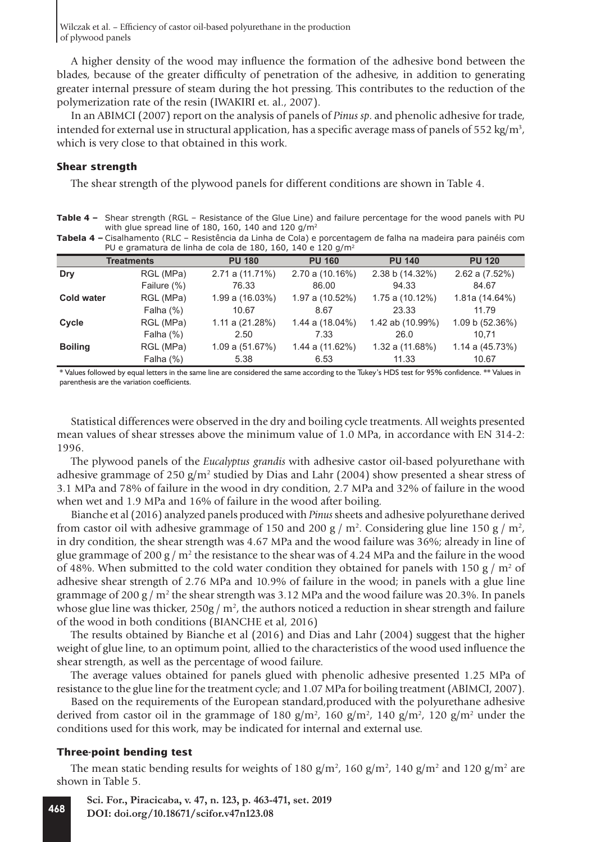A higher density of the wood may influence the formation of the adhesive bond between the blades, because of the greater difficulty of penetration of the adhesive, in addition to generating greater internal pressure of steam during the hot pressing. This contributes to the reduction of the polymerization rate of the resin (IWAKIRI et. al., 2007).

In an ABIMCI (2007) report on the analysis of panels of *Pinus sp*. and phenolic adhesive for trade, intended for external use in structural application, has a specific average mass of panels of 552 kg/m<sup>3</sup>, which is very close to that obtained in this work.

#### **Shear strength**

The shear strength of the plywood panels for different conditions are shown in Table 4.

**Table 4 –** Shear strength (RGL – Resistance of the Glue Line) and failure percentage for the wood panels with PU with glue spread line of 180, 160, 140 and 120  $q/m^2$ **Tabela 4 –** Cisalhamento (RLC – Resistência da Linha de Cola) e porcentagem de falha na madeira para painéis com

| <b>Tabela +</b> = Cisalhanichtu (NEC = Nesistencia da Linha de Cola) e porcentagent de fama ha madeira para palheis com<br>PU e gramatura de linha de cola de 180, 160, 140 e 120 g/m <sup>2</sup> |             |                      |                      |                 |                |  |  |
|----------------------------------------------------------------------------------------------------------------------------------------------------------------------------------------------------|-------------|----------------------|----------------------|-----------------|----------------|--|--|
| <b>PU 120</b><br><b>PU 140</b><br><b>Treatments</b><br><b>PU 180</b><br><b>PU 160</b>                                                                                                              |             |                      |                      |                 |                |  |  |
| Dry                                                                                                                                                                                                | RGL (MPa)   | 2.71 a (11.71%)      | 2.70 a (10.16%)      | 2.38 b (14.32%) | 2.62 a (7.52%) |  |  |
|                                                                                                                                                                                                    | Failure (%) | 76.33                | 86.00                | 94.33           | 84.67          |  |  |
| <b>Cold water</b>                                                                                                                                                                                  | RGL (MPa)   | $1.99$ a $(16.03\%)$ | $1.97$ a $(10.52\%)$ | 1.75a(10.12%)   | 1.81a (14.64%) |  |  |
|                                                                                                                                                                                                    | Falha $(%)$ | 10.67                | 8.67                 | 23.33           | 11.79          |  |  |

**Cycle** RGL (MPa) 1.11 a (21.28%) 1.44 a (18.04%) 1.42 ab (10.99%) 1.09 b (52.36%) Falha (%) 2.50 7.33 26.0 10,71 **Boiling** RGL (MPa) 1.09 a (51.67%) 1.44 a (11.62%) 1.32 a (11.68%) 1.14 a (45.73%) Falha (%) 5.38 6.53 11.33 10.67

\* Values followed by equal letters in the same line are considered the same according to the Tukey's HDS test for 95% confidence. \*\* Values in parenthesis are the variation coefficients.

Statistical differences were observed in the dry and boiling cycle treatments. All weights presented mean values of shear stresses above the minimum value of 1.0 MPa, in accordance with EN 314-2: 1996.

The plywood panels of the *Eucalyptus grandis* with adhesive castor oil-based polyurethane with adhesive grammage of 250 g/m<sup>2</sup> studied by Dias and Lahr (2004) show presented a shear stress of 3.1 MPa and 78% of failure in the wood in dry condition, 2.7 MPa and 32% of failure in the wood when wet and 1.9 MPa and 16% of failure in the wood after boiling.

Bianche et al (2016) analyzed panels produced with *Pinus* sheets and adhesive polyurethane derived from castor oil with adhesive grammage of 150 and 200 g /  $m^2$ . Considering glue line 150 g /  $m^2$ , in dry condition, the shear strength was 4.67 MPa and the wood failure was 36%; already in line of glue grammage of 200 g /  $m^2$  the resistance to the shear was of 4.24 MPa and the failure in the wood of 48%. When submitted to the cold water condition they obtained for panels with 150  $\frac{g}{m^2}$  of adhesive shear strength of 2.76 MPa and 10.9% of failure in the wood; in panels with a glue line grammage of 200 g /  $m^2$  the shear strength was 3.12 MPa and the wood failure was 20.3%. In panels whose glue line was thicker, 250g /  $m^2$ , the authors noticed a reduction in shear strength and failure of the wood in both conditions (BIANCHE et al, 2016)

The results obtained by Bianche et al (2016) and Dias and Lahr (2004) suggest that the higher weight of glue line, to an optimum point, allied to the characteristics of the wood used influence the shear strength, as well as the percentage of wood failure.

The average values obtained for panels glued with phenolic adhesive presented 1.25 MPa of resistance to the glue line for the treatment cycle; and 1.07 MPa for boiling treatment (ABIMCI, 2007).

Based on the requirements of the European standard,produced with the polyurethane adhesive derived from castor oil in the grammage of 180 g/m<sup>2</sup>, 160 g/m<sup>2</sup>, 140 g/m<sup>2</sup>, 120 g/m<sup>2</sup> under the conditions used for this work, may be indicated for internal and external use.

#### **Three-point bending test**

The mean static bending results for weights of 180 g/m<sup>2</sup>, 160 g/m<sup>2</sup>, 140 g/m<sup>2</sup> and 120 g/m<sup>2</sup> are shown in Table 5.

```
808 Sci. For., Piracicaba, v. 47, n. 123, p. 463-471, set. 2019
DOI: doi.org/10.18671/scifor.v47n123.08
```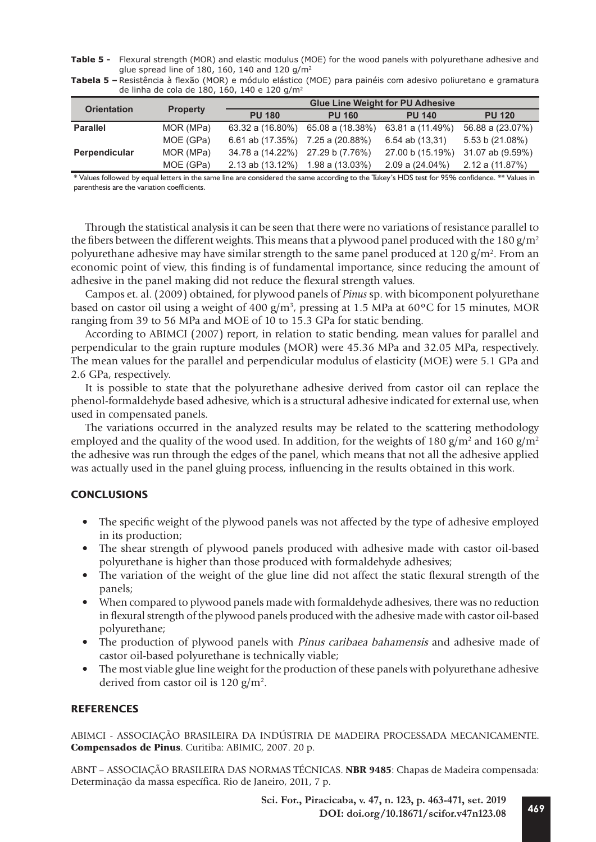**Table 5 -** Flexural strength (MOR) and elastic modulus (MOE) for the wood panels with polyurethane adhesive and glue spread line of 180, 160, 140 and 120 g/m<sup>2</sup>

| Tabela 5 - Resistência à flexão (MOR) e módulo elástico (MOE) para painéis com adesivo poliuretano e gramatura |  |
|----------------------------------------------------------------------------------------------------------------|--|
| de linha de cola de 180, 160, 140 e 120 g/m <sup>2</sup>                                                       |  |

| <b>Orientation</b> | <b>Property</b> | <b>Glue Line Weight for PU Adhesive</b> |                  |                      |                     |
|--------------------|-----------------|-----------------------------------------|------------------|----------------------|---------------------|
|                    |                 | <b>PU 180</b>                           | <b>PU 160</b>    | <b>PU 140</b>        | <b>PU 120</b>       |
| <b>Parallel</b>    | MOR (MPa)       | $63.32$ a $(16.80\%)$                   | 65.08 a (18.38%) | 63.81 a (11.49%)     | 56.88 a (23.07%)    |
|                    | MOE (GPa)       | 6.61 ab (17.35%)                        | 7.25 a (20.88%)  | 6.54 ab (13,31)      | 5.53 b (21.08%)     |
| Perpendicular      | MOR (MPa)       | 34.78 a (14.22%)                        | 27.29 b (7.76%)  | 27.00 b (15.19%)     | 31.07 ab (9.59%)    |
|                    | MOE (GPa)       | 2.13 ab (13.12%)                        | 1.98 a (13.03%)  | $2.09$ a $(24.04\%)$ | $2.12$ a $(11.87%)$ |

\* Values followed by equal letters in the same line are considered the same according to the Tukey's HDS test for 95% confidence. \*\* Values in parenthesis are the variation coefficients.

Through the statistical analysis it can be seen that there were no variations of resistance parallel to the fibers between the different weights. This means that a plywood panel produced with the 180 g/m<sup>2</sup> polyurethane adhesive may have similar strength to the same panel produced at 120  $g/m^2$ . From an economic point of view, this finding is of fundamental importance, since reducing the amount of adhesive in the panel making did not reduce the flexural strength values.

Campos et. al. (2009) obtained, for plywood panels of *Pinus* sp. with bicomponent polyurethane based on castor oil using a weight of 400  $g/m^3$ , pressing at 1.5 MPa at 60°C for 15 minutes, MOR ranging from 39 to 56 MPa and MOE of 10 to 15.3 GPa for static bending.

According to ABIMCI (2007) report, in relation to static bending, mean values for parallel and perpendicular to the grain rupture modules (MOR) were 45.36 MPa and 32.05 MPa, respectively. The mean values for the parallel and perpendicular modulus of elasticity (MOE) were 5.1 GPa and 2.6 GPa, respectively.

It is possible to state that the polyurethane adhesive derived from castor oil can replace the phenol-formaldehyde based adhesive, which is a structural adhesive indicated for external use, when used in compensated panels.

The variations occurred in the analyzed results may be related to the scattering methodology employed and the quality of the wood used. In addition, for the weights of 180 g/m<sup>2</sup> and 160 g/m<sup>2</sup> the adhesive was run through the edges of the panel, which means that not all the adhesive applied was actually used in the panel gluing process, influencing in the results obtained in this work.

# **CONCLUSIONS**

- The specific weight of the plywood panels was not affected by the type of adhesive employed in its production;
- The shear strength of plywood panels produced with adhesive made with castor oil-based polyurethane is higher than those produced with formaldehyde adhesives;
- The variation of the weight of the glue line did not affect the static flexural strength of the panels;
- When compared to plywood panels made with formaldehyde adhesives, there was no reduction in flexural strength of the plywood panels produced with the adhesive made with castor oil-based polyurethane;
- The production of plywood panels with *Pinus caribaea bahamensis* and adhesive made of castor oil-based polyurethane is technically viable;
- The most viable glue line weight for the production of these panels with polyurethane adhesive derived from castor oil is 120  $g/m^2$ .

# **REFERENCES**

ABIMCI - ASSOCIAÇÃO BRASILEIRA DA INDÚSTRIA DE MADEIRA PROCESSADA MECANICAMENTE. Compensados de Pinus. Curitiba: ABIMIC, 2007. 20 p.

ABNT – ASSOCIAÇÃO BRASILEIRA DAS NORMAS TÉCNICAS. NBR 9485: Chapas de Madeira compensada: Determinação da massa específica. Rio de Janeiro, 2011, 7 p.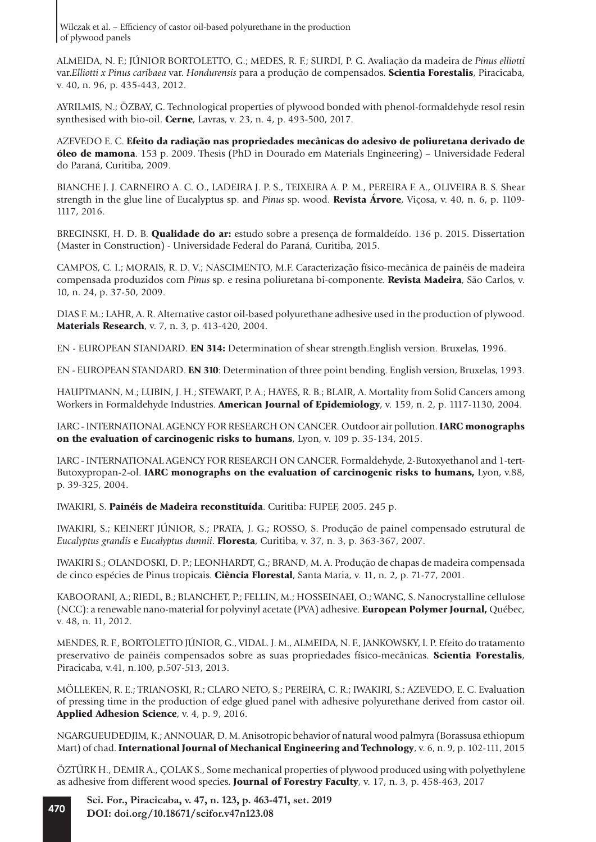ALMEIDA, N. F.; JÚNIOR BORTOLETTO, G.; MEDES, R. F.; SURDI, P. G. Avaliação da madeira de *Pinus elliotti* var.*Elliotti x Pinus caribaea* var. *Hondurensis* para a produção de compensados. Scientia Forestalis, Piracicaba, v. 40, n. 96, p. 435-443, 2012.

AYRILMIS, N.; ÖZBAY, G. Technological properties of plywood bonded with phenol-formaldehyde resol resin synthesised with bio-oil. Cerne, Lavras, v. 23, n. 4, p. 493-500, 2017.

AZEVEDO E. C. Efeito da radiação nas propriedades mecânicas do adesivo de poliuretana derivado de óleo de mamona. 153 p. 2009. Thesis (PhD in Dourado em Materials Engineering) – Universidade Federal do Paraná, Curitiba, 2009.

BIANCHE J. J. CARNEIRO A. C. O., LADEIRA J. P. S., TEIXEIRA A. P. M., PEREIRA F. A., OLIVEIRA B. S. Shear strength in the glue line of Eucalyptus sp. and *Pinus* sp. wood. Revista Árvore, Viçosa, v. 40, n. 6, p. 1109- 1117, 2016.

BREGINSKI, H. D. B. Qualidade do ar: estudo sobre a presença de formaldeído. 136 p. 2015. Dissertation (Master in Construction) - Universidade Federal do Paraná, Curitiba, 2015.

CAMPOS, C. I.; MORAIS, R. D. V.; NASCIMENTO, M.F. Caracterização físico-mecânica de painéis de madeira compensada produzidos com *Pinus* sp. e resina poliuretana bi-componente. Revista Madeira, São Carlos, v. 10, n. 24, p. 37-50, 2009.

DIAS F. M.; LAHR, A. R. Alternative castor oil-based polyurethane adhesive used in the production of plywood. Materials Research, v. 7, n. 3, p. 413-420, 2004.

EN - EUROPEAN STANDARD. EN 314: Determination of shear strength.English version. Bruxelas, 1996.

EN - EUROPEAN STANDARD. EN 310: Determination of three point bending. English version, Bruxelas, 1993.

HAUPTMANN, M.; LUBIN, J. H.; STEWART, P. A.; HAYES, R. B.; BLAIR, A. Mortality from Solid Cancers among Workers in Formaldehyde Industries. **American Journal of Epidemiology**, v. 159, n. 2, p. 1117-1130, 2004.

IARC - INTERNATIONAL AGENCY FOR RESEARCH ON CANCER. Outdoor air pollution. IARC monographs on the evaluation of carcinogenic risks to humans, Lyon, v. 109 p. 35-134, 2015.

IARC - INTERNATIONAL AGENCY FOR RESEARCH ON CANCER. Formaldehyde, 2-Butoxyethanol and 1-tert-Butoxypropan-2-ol. **IARC monographs on the evaluation of carcinogenic risks to humans,** Lyon, v.88, p. 39-325, 2004.

IWAKIRI, S. Painéis de Madeira reconstituída. Curitiba: FUPEF, 2005. 245 p.

IWAKIRI, S.; KEINERT JÚNIOR, S.; PRATA, J. G.; ROSSO, S. Produção de painel compensado estrutural de *Eucalyptus grandis* e *Eucalyptus dunnii*. Floresta, Curitiba, v. 37, n. 3, p. 363-367, 2007.

IWAKIRI S.; OLANDOSKI, D. P.; LEONHARDT, G.; BRAND, M. A. Produção de chapas de madeira compensada de cinco espécies de Pinus tropicais. Ciência Florestal, Santa Maria, v. 11, n. 2, p. 71-77, 2001.

KABOORANI, A.; RIEDL, B.; BLANCHET, P.; FELLIN, M.; HOSSEINAEI, O.; WANG, S. Nanocrystalline cellulose (NCC): a renewable nano-material for polyvinyl acetate (PVA) adhesive. European Polymer Journal, Québec, v. 48, n. 11, 2012.

MENDES, R. F., BORTOLETTO JÚNIOR, G., VIDAL. J. M., ALMEIDA, N. F., JANKOWSKY, I. P. Efeito do tratamento preservativo de painéis compensados sobre as suas propriedades físico-mecânicas. Scientia Forestalis, Piracicaba, v.41, n.100, p.507-513, 2013.

MÖLLEKEN, R. E.; TRIANOSKI, R.; CLARO NETO, S.; PEREIRA, C. R.; IWAKIRI, S.; AZEVEDO, E. C. Evaluation of pressing time in the production of edge glued panel with adhesive polyurethane derived from castor oil. Applied Adhesion Science, v. 4, p. 9, 2016.

NGARGUEUDEDJIM, K.; ANNOUAR, D. M. Anisotropic behavior of natural wood palmyra (Borassusa ethiopum Mart) of chad. International Journal of Mechanical Engineering and Technology, v. 6, n. 9, p. 102-111, 2015

ÖZTÜRK H., DEMIR A., ÇOLAK S., Some mechanical properties of plywood produced using with polyethylene as adhesive from different wood species. Journal of Forestry Faculty, v. 17, n. 3, p. 458-463, 2017